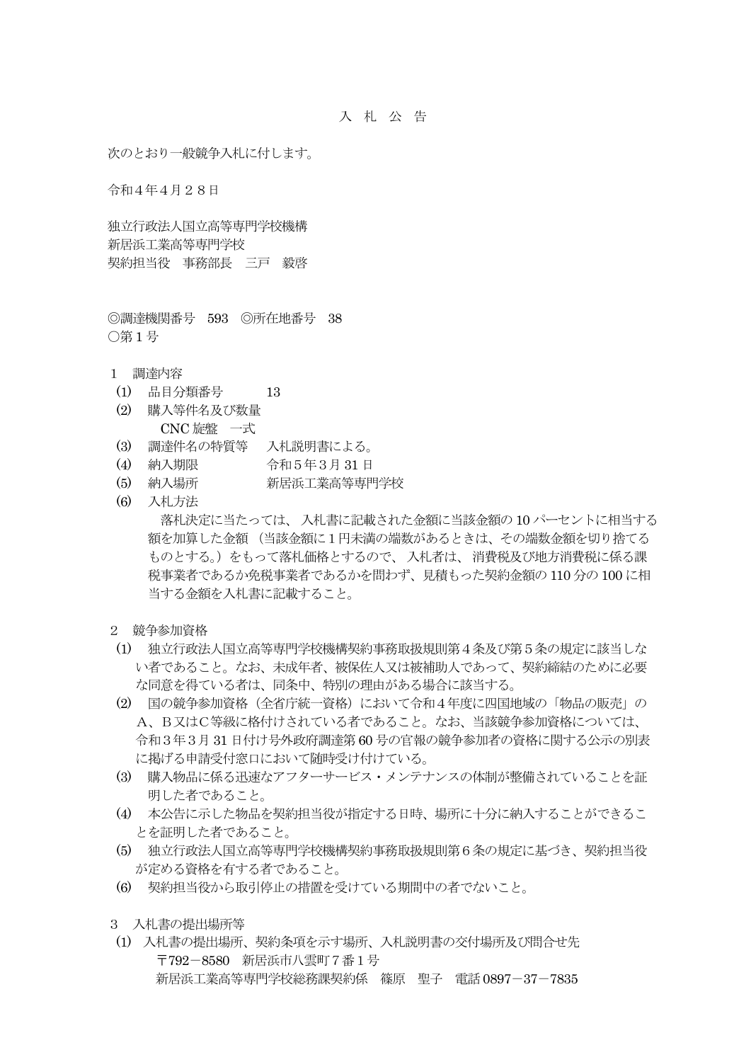次のとおり一般競争入札に付します。

令和4年4月28日

独立行政法人国立高等専門学校機構 新居浜工業高等専門学校 契約担当役 事務部長 三戸 毅啓

◎調達機関番号 593 ◎所在地番号 38 ○第 1 号

- 1 調達内容
- (1) 品目分類番号 13
- (2) 購入等件名及び数量 CNC 旋盤 一式
- (3) 調達件名の特質等 入札説明書による。
- (4) 納入期限 令和5年3月 31 日
- (5) 納入場所 新居浜工業高等専門学校
- (6) 入札方法

落札決定に当たっては、 入札書に記載された金額に当該金額の 10 パーセントに相当する 額を加算した金額 (当該金額に1円未満の端数があるときは、その端数金額を切り捨てる ものとする。)をもって落札価格とするので、入札者は、消費税及び地方消費税に係る課 税事業者であるか免税事業者であるかを問わず、見積もった契約金額の 110 分の 100 に相 当する金額を入札書に記載すること。

- 2 競争参加資格
- (1) 独立行政法人国立高等専門学校機構契約事務取扱規則第4条及び第5条の規定に該当しな い者であること。なお、未成年者、被保佐人又は被補助人であって、契約締結のために必要 な同意を得ている者は、同条中、特別の理由がある場合に該当する。
- (2) 国の競争参加資格(全省庁統一資格)において令和4年度に四国地域の「物品の販売」の A、B又はC等級に格付けされている者であること。なお、当該競争参加資格については、 令和3年3月 31 日付け号外政府調達第 60 号の官報の競争参加者の資格に関する公示の別表 に掲げる申請受付窓口において随時受け付けている。
- (3) 購入物品に係る迅速なアフターサービス・メンテナンスの体制が整備されていることを証 明した者であること。
- (4) 本公告に示した物品を契約担当役が指定する日時、場所に十分に納入することができるこ とを証明した者であること。
- (5) 独立行政法人国立高等専門学校機構契約事務取扱規則第6条の規定に基づき、契約担当役 が定める資格を有する者であること。
- (6) 契約担当役から取引停止の措置を受けている期間中の者でないこと。
- 3 入札書の提出場所等
- (1) 入札書の提出場所、契約条項を示す場所、入札説明書の交付場所及び問合せ先 〒792-8580 新居浜市八雲町7番1号 新居浜工業高等専門学校総務課契約係 篠原 聖子 電話 0897-37-7835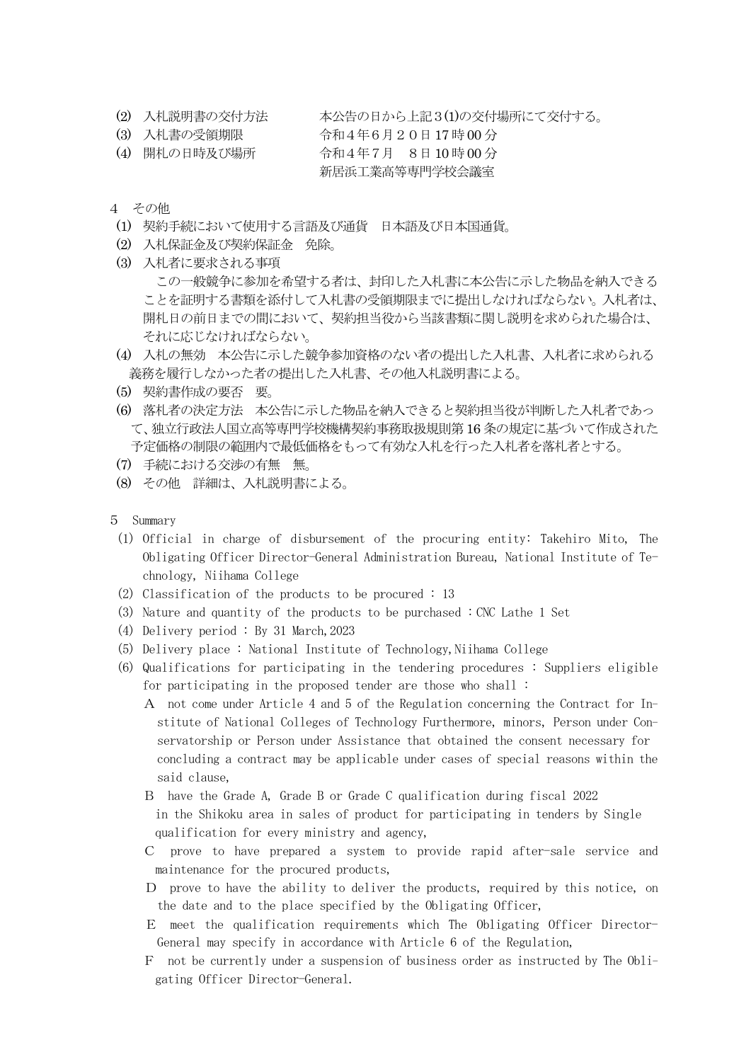- (2) 入札説明書の交付方法 本公告の日から上記3(1)の交付場所にて交付する。
- (3) 入札書の受領期限 令和4年6月20日 17 時 00 分
- (4) 開札の日時及び場所 令和4年7月 8日 10 時 00 分
	- 新居浜工業高等専門学校会議室
- 4 その他
- (1) 契約手続において使用する言語及び通貨 日本語及び日本国通貨。
- (2) 入札保証金及び契約保証金 免除。
- (3) 入札者に要求される事項

 この一般競争に参加を希望する者は、封印した入札書に本公告に示した物品を納入できる ことを証明する書類を添付して入札書の受領期限までに提出しなければならない。入札者は、 開札日の前日までの間において、契約担当役から当該書類に関し説明を求められた場合は、 それに応じなければならない。

- (4) 入札の無効 本公告に示した競争参加資格のない者の提出した入札書、入札者に求められる 義務を履行しなかった者の提出した入札書、その他入札説明書による。
- (5) 契約書作成の要否 要。
- (6) 落札者の決定方法 本公告に示した物品を納入できると契約担当役が判断した入札者であっ て、独立行政法人国立高等専門学校機構契約事務取扱規則第 16 条の規定に基づいて作成された 予定価格の制限の範囲内で最低価格をもって有効な入札を行った入札者を落札者とする。
- (7) 手続における交渉の有無 無。
- (8) その他 詳細は、入札説明書による。
- 5 Summary
	- (1) Official in charge of disbursement of the procuring entity: Takehiro Mito, The Obligating Officer Director-General Administration Bureau, National Institute of Technology, Niihama College
- (2) Classification of the products to be procured : 13
- (3) Nature and quantity of the products to be purchased : CNC Lathe 1 Set
- (4) Delivery period : By 31 March,2023
- (5) Delivery place : National Institute of Technology,Niihama College
- (6) Qualifications for participating in the tendering procedures : Suppliers eligible for participating in the proposed tender are those who shall :
	- A not come under Article 4 and 5 of the Regulation concerning the Contract for In stitute of National Colleges of Technology Furthermore, minors, Person under Con servatorship or Person under Assistance that obtained the consent necessary for concluding a contract may be applicable under cases of special reasons within the said clause,
	- B have the Grade A, Grade B or Grade C qualification during fiscal 2022 in the Shikoku area in sales of product for participating in tenders by Single qualification for every ministry and agency,
	- C prove to have prepared a system to provide rapid after-sale service and maintenance for the procured products,
	- D prove to have the ability to deliver the products, required by this notice, on the date and to the place specified by the Obligating Officer,
	- E meet the qualification requirements which The Obligating Officer Director-General may specify in accordance with Article 6 of the Regulation,
	- F not be currently under a suspension of business order as instructed by The Obli gating Officer Director-General.